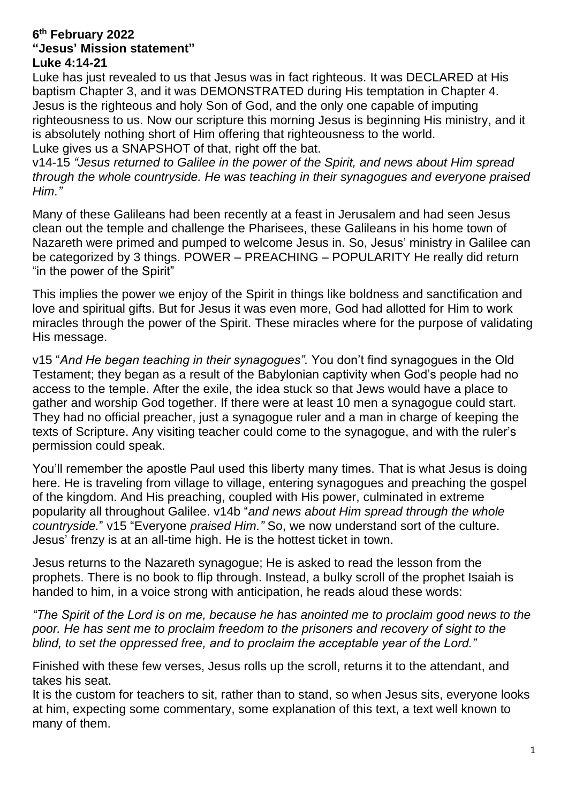#### **6 th February 2022 "Jesus' Mission statement" Luke 4:14-21**

Luke has just revealed to us that Jesus was in fact righteous. It was DECLARED at His baptism Chapter 3, and it was DEMONSTRATED during His temptation in Chapter 4. Jesus is the righteous and holy Son of God, and the only one capable of imputing righteousness to us. Now our scripture this morning Jesus is beginning His ministry, and it is absolutely nothing short of Him offering that righteousness to the world. Luke gives us a SNAPSHOT of that, right off the bat.

v14-15 *"Jesus returned to Galilee in the power of the Spirit, and news about Him spread through the whole countryside. He was teaching in their synagogues and everyone praised Him."*

Many of these Galileans had been recently at a feast in Jerusalem and had seen Jesus clean out the temple and challenge the Pharisees, these Galileans in his home town of Nazareth were primed and pumped to welcome Jesus in. So, Jesus' ministry in Galilee can be categorized by 3 things. POWER – PREACHING – POPULARITY He really did return "in the power of the Spirit"

This implies the power we enjoy of the Spirit in things like boldness and sanctification and love and spiritual gifts. But for Jesus it was even more, God had allotted for Him to work miracles through the power of the Spirit. These miracles where for the purpose of validating His message.

v15 "*And He began teaching in their synagogues".* You don't find synagogues in the Old Testament; they began as a result of the Babylonian captivity when God's people had no access to the temple. After the exile, the idea stuck so that Jews would have a place to gather and worship God together. If there were at least 10 men a synagogue could start. They had no official preacher, just a synagogue ruler and a man in charge of keeping the texts of Scripture. Any visiting teacher could come to the synagogue, and with the ruler's permission could speak.

You'll remember the apostle Paul used this liberty many times. That is what Jesus is doing here. He is traveling from village to village, entering synagogues and preaching the gospel of the kingdom. And His preaching, coupled with His power, culminated in extreme popularity all throughout Galilee. v14b "*and news about Him spread through the whole countryside.*" v15 "Everyone *praised Him."* So, we now understand sort of the culture. Jesus' frenzy is at an all-time high. He is the hottest ticket in town.

Jesus returns to the Nazareth synagogue; He is asked to read the lesson from the prophets. There is no book to flip through. Instead, a bulky scroll of the prophet Isaiah is handed to him, in a voice strong with anticipation, he reads aloud these words:

*"The Spirit of the Lord is on me, because he has anointed me to proclaim good news to the poor. He has sent me to proclaim freedom to the prisoners and recovery of sight to the blind, to set the oppressed free, and to proclaim the acceptable year of the Lord."*

Finished with these few verses, Jesus rolls up the scroll, returns it to the attendant, and takes his seat.

It is the custom for teachers to sit, rather than to stand, so when Jesus sits, everyone looks at him, expecting some commentary, some explanation of this text, a text well known to many of them.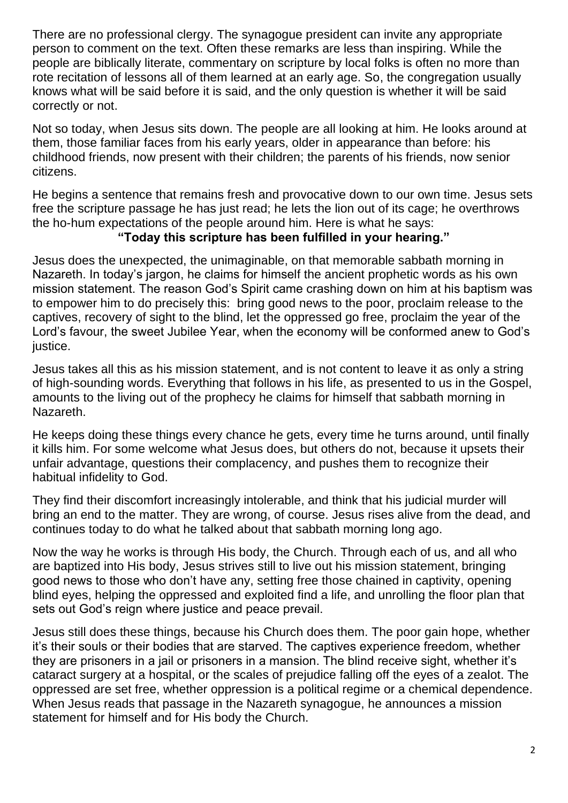There are no professional clergy. The synagogue president can invite any appropriate person to comment on the text. Often these remarks are less than inspiring. While the people are biblically literate, commentary on scripture by local folks is often no more than rote recitation of lessons all of them learned at an early age. So, the congregation usually knows what will be said before it is said, and the only question is whether it will be said correctly or not.

Not so today, when Jesus sits down. The people are all looking at him. He looks around at them, those familiar faces from his early years, older in appearance than before: his childhood friends, now present with their children; the parents of his friends, now senior citizens.

He begins a sentence that remains fresh and provocative down to our own time. Jesus sets free the scripture passage he has just read; he lets the lion out of its cage; he overthrows the ho-hum expectations of the people around him. Here is what he says:

### **"Today this scripture has been fulfilled in your hearing."**

Jesus does the unexpected, the unimaginable, on that memorable sabbath morning in Nazareth. In today's jargon, he claims for himself the ancient prophetic words as his own mission statement. The reason God's Spirit came crashing down on him at his baptism was to empower him to do precisely this: bring good news to the poor, proclaim release to the captives, recovery of sight to the blind, let the oppressed go free, proclaim the year of the Lord's favour, the sweet Jubilee Year, when the economy will be conformed anew to God's justice.

Jesus takes all this as his mission statement, and is not content to leave it as only a string of high-sounding words. Everything that follows in his life, as presented to us in the Gospel, amounts to the living out of the prophecy he claims for himself that sabbath morning in Nazareth.

He keeps doing these things every chance he gets, every time he turns around, until finally it kills him. For some welcome what Jesus does, but others do not, because it upsets their unfair advantage, questions their complacency, and pushes them to recognize their habitual infidelity to God.

They find their discomfort increasingly intolerable, and think that his judicial murder will bring an end to the matter. They are wrong, of course. Jesus rises alive from the dead, and continues today to do what he talked about that sabbath morning long ago.

Now the way he works is through His body, the Church. Through each of us, and all who are baptized into His body, Jesus strives still to live out his mission statement, bringing good news to those who don't have any, setting free those chained in captivity, opening blind eyes, helping the oppressed and exploited find a life, and unrolling the floor plan that sets out God's reign where justice and peace prevail.

Jesus still does these things, because his Church does them. The poor gain hope, whether it's their souls or their bodies that are starved. The captives experience freedom, whether they are prisoners in a jail or prisoners in a mansion. The blind receive sight, whether it's cataract surgery at a hospital, or the scales of prejudice falling off the eyes of a zealot. The oppressed are set free, whether oppression is a political regime or a chemical dependence. When Jesus reads that passage in the Nazareth synagogue, he announces a mission statement for himself and for His body the Church.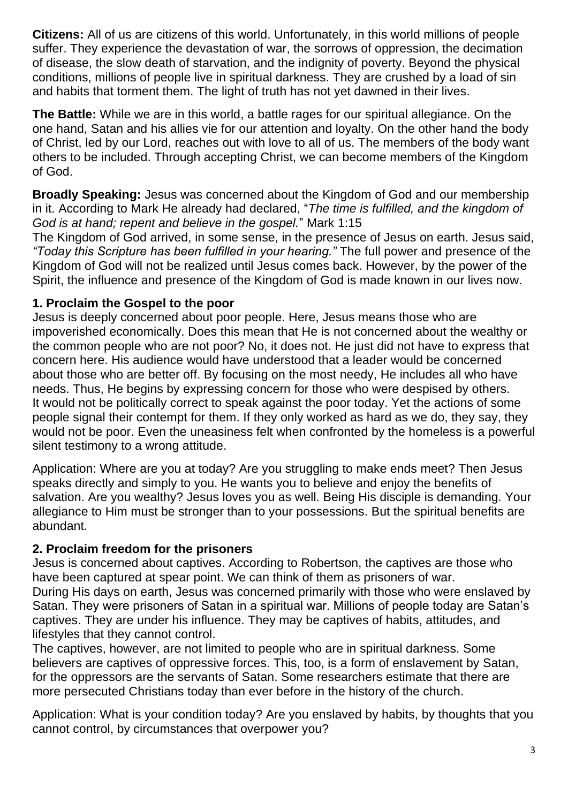**Citizens:** All of us are citizens of this world. Unfortunately, in this world millions of people suffer. They experience the devastation of war, the sorrows of oppression, the decimation of disease, the slow death of starvation, and the indignity of poverty. Beyond the physical conditions, millions of people live in spiritual darkness. They are crushed by a load of sin and habits that torment them. The light of truth has not yet dawned in their lives.

**The Battle:** While we are in this world, a battle rages for our spiritual allegiance. On the one hand, Satan and his allies vie for our attention and loyalty. On the other hand the body of Christ, led by our Lord, reaches out with love to all of us. The members of the body want others to be included. Through accepting Christ, we can become members of the Kingdom of God.

**Broadly Speaking:** Jesus was concerned about the Kingdom of God and our membership in it. According to Mark He already had declared, "*The time is fulfilled, and the kingdom of God is at hand; repent and believe in the gospel.*" Mark 1:15

The Kingdom of God arrived, in some sense, in the presence of Jesus on earth. Jesus said, *"Today this Scripture has been fulfilled in your hearing."* The full power and presence of the Kingdom of God will not be realized until Jesus comes back. However, by the power of the Spirit, the influence and presence of the Kingdom of God is made known in our lives now.

### **1. Proclaim the Gospel to the poor**

Jesus is deeply concerned about poor people. Here, Jesus means those who are impoverished economically. Does this mean that He is not concerned about the wealthy or the common people who are not poor? No, it does not. He just did not have to express that concern here. His audience would have understood that a leader would be concerned about those who are better off. By focusing on the most needy, He includes all who have needs. Thus, He begins by expressing concern for those who were despised by others. It would not be politically correct to speak against the poor today. Yet the actions of some people signal their contempt for them. If they only worked as hard as we do, they say, they would not be poor. Even the uneasiness felt when confronted by the homeless is a powerful silent testimony to a wrong attitude.

Application: Where are you at today? Are you struggling to make ends meet? Then Jesus speaks directly and simply to you. He wants you to believe and enjoy the benefits of salvation. Are you wealthy? Jesus loves you as well. Being His disciple is demanding. Your allegiance to Him must be stronger than to your possessions. But the spiritual benefits are abundant.

#### **2. Proclaim freedom for the prisoners**

Jesus is concerned about captives. According to Robertson, the captives are those who have been captured at spear point. We can think of them as prisoners of war. During His days on earth, Jesus was concerned primarily with those who were enslaved by Satan. They were prisoners of Satan in a spiritual war. Millions of people today are Satan's captives. They are under his influence. They may be captives of habits, attitudes, and lifestyles that they cannot control.

The captives, however, are not limited to people who are in spiritual darkness. Some believers are captives of oppressive forces. This, too, is a form of enslavement by Satan, for the oppressors are the servants of Satan. Some researchers estimate that there are more persecuted Christians today than ever before in the history of the church.

Application: What is your condition today? Are you enslaved by habits, by thoughts that you cannot control, by circumstances that overpower you?